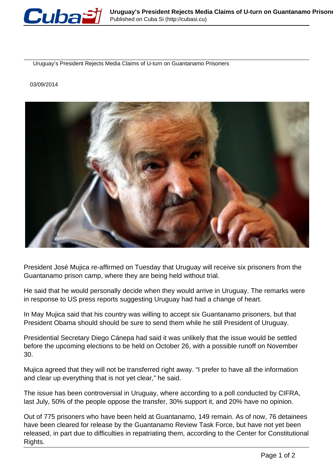

Uruguay's President Rejects Media Claims of U-turn on Guantanamo Prisoners

## 03/09/2014



President José Mujica re-affirmed on Tuesday that Uruguay will receive six prisoners from the Guantanamo prison camp, where they are being held without trial.

He said that he would personally decide when they would arrive in Uruguay. The remarks were in response to US press reports suggesting Uruguay had had a change of heart.

In May Mujica said that his country was willing to accept six Guantanamo prisoners, but that President Obama should should be sure to send them while he still President of Uruguay.

Presidential Secretary Diego Cánepa had said it was unlikely that the issue would be settled before the upcoming elections to be held on October 26, with a possible runoff on November 30.

Mujica agreed that they will not be transferred right away. "I prefer to have all the information and clear up everything that is not yet clear," he said.

The issue has been controversial in Uruguay, where according to a poll conducted by CIFRA, last July, 50% of the people oppose the transfer, 30% support it, and 20% have no opinion.

Out of 775 prisoners who have been held at Guantanamo, 149 remain. As of now, 76 detainees have been cleared for release by the Guantanamo Review Task Force, but have not yet been released, in part due to difficulties in repatriating them, according to the Center for Constitutional Rights.